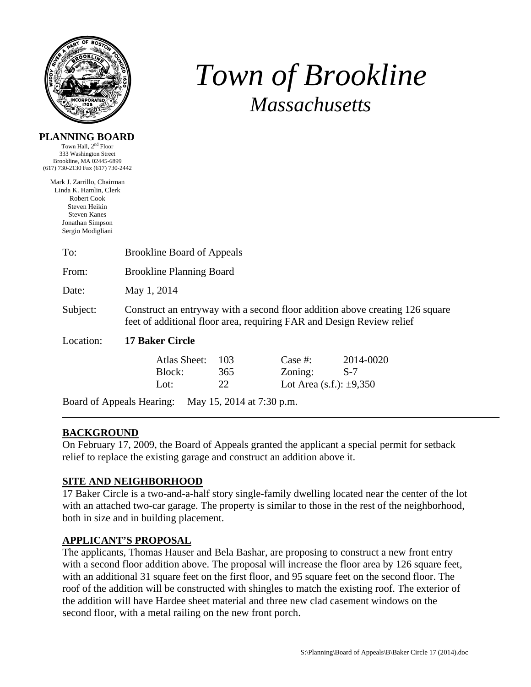

# *Town of Brookline Massachusetts*

#### **PLANNING BOARD**

Town Hall,  $2<sup>nd</sup>$  Floor 333 Washington Street Brookline, MA 02445-6899 (617) 730-2130 Fax (617) 730-2442

Mark J. Zarrillo, Chairman Linda K. Hamlin, Clerk Robert Cook Steven Heikin Steven Kanes Jonathan Simpson Sergio Modigliani

| To:                                                    | <b>Brookline Board of Appeals</b>                                                                                                                     |     |                              |           |  |  |
|--------------------------------------------------------|-------------------------------------------------------------------------------------------------------------------------------------------------------|-----|------------------------------|-----------|--|--|
| From:                                                  | <b>Brookline Planning Board</b>                                                                                                                       |     |                              |           |  |  |
| Date:                                                  | May 1, 2014                                                                                                                                           |     |                              |           |  |  |
| Subject:                                               | Construct an entryway with a second floor addition above creating 126 square<br>feet of additional floor area, requiring FAR and Design Review relief |     |                              |           |  |  |
| Location:                                              | <b>17 Baker Circle</b>                                                                                                                                |     |                              |           |  |  |
|                                                        | <b>Atlas Sheet:</b>                                                                                                                                   | 103 | Case  #:                     | 2014-0020 |  |  |
|                                                        | Block:                                                                                                                                                | 365 | Zoning:                      | $S-7$     |  |  |
|                                                        | Lot:                                                                                                                                                  | 22  | Lot Area (s.f.): $\pm 9,350$ |           |  |  |
| May 15, 2014 at 7:30 p.m.<br>Board of Appeals Hearing: |                                                                                                                                                       |     |                              |           |  |  |

## **BACKGROUND**

On February 17, 2009, the Board of Appeals granted the applicant a special permit for setback relief to replace the existing garage and construct an addition above it.

### **SITE AND NEIGHBORHOOD**

17 Baker Circle is a two-and-a-half story single-family dwelling located near the center of the lot with an attached two-car garage. The property is similar to those in the rest of the neighborhood, both in size and in building placement.

### **APPLICANT'S PROPOSAL**

The applicants, Thomas Hauser and Bela Bashar, are proposing to construct a new front entry with a second floor addition above. The proposal will increase the floor area by 126 square feet, with an additional 31 square feet on the first floor, and 95 square feet on the second floor. The roof of the addition will be constructed with shingles to match the existing roof. The exterior of the addition will have Hardee sheet material and three new clad casement windows on the second floor, with a metal railing on the new front porch.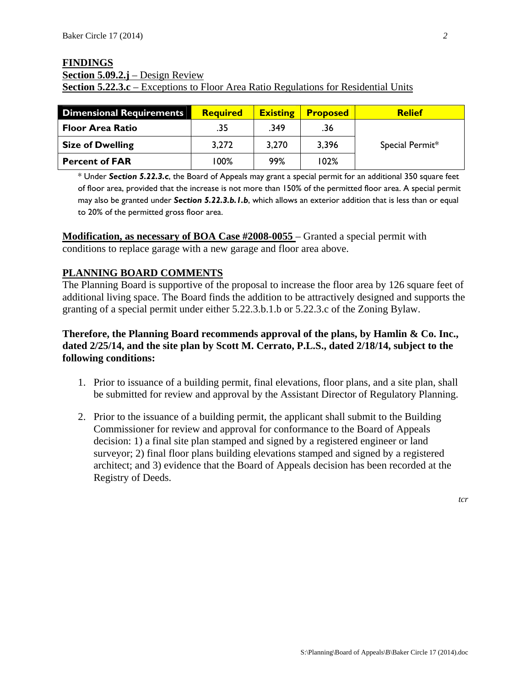#### **FINDINGS Section 5.09.2.j** – Design Review **Section 5.22.3.c** – Exceptions to Floor Area Ratio Regulations for Residential Units

| <b>Dimensional Requirements</b> | <b>Required</b> | <b>Existing</b> | <b>Proposed</b> | <b>Relief</b>   |
|---------------------------------|-----------------|-----------------|-----------------|-----------------|
| <b>Floor Area Ratio</b>         | .35             | .349            | .36             |                 |
| <b>Size of Dwelling</b>         | 3,272           | 3,270           | 3,396           | Special Permit* |
| <b>Percent of FAR</b>           | 100%            | 99%             | 102%            |                 |

\* Under *Section 5.22.3.c*, the Board of Appeals may grant a special permit for an additional 350 square feet of floor area, provided that the increase is not more than 150% of the permitted floor area. A special permit may also be granted under *Section 5.22.3.b.1.b*, which allows an exterior addition that is less than or equal to 20% of the permitted gross floor area.

**Modification, as necessary of BOA Case #2008-0055** – Granted a special permit with conditions to replace garage with a new garage and floor area above.

### **PLANNING BOARD COMMENTS**

The Planning Board is supportive of the proposal to increase the floor area by 126 square feet of additional living space. The Board finds the addition to be attractively designed and supports the granting of a special permit under either 5.22.3.b.1.b or 5.22.3.c of the Zoning Bylaw.

### **Therefore, the Planning Board recommends approval of the plans, by Hamlin & Co. Inc., dated 2/25/14, and the site plan by Scott M. Cerrato, P.L.S., dated 2/18/14, subject to the following conditions:**

- 1. Prior to issuance of a building permit, final elevations, floor plans, and a site plan, shall be submitted for review and approval by the Assistant Director of Regulatory Planning.
- 2. Prior to the issuance of a building permit, the applicant shall submit to the Building Commissioner for review and approval for conformance to the Board of Appeals decision: 1) a final site plan stamped and signed by a registered engineer or land surveyor; 2) final floor plans building elevations stamped and signed by a registered architect; and 3) evidence that the Board of Appeals decision has been recorded at the Registry of Deeds.